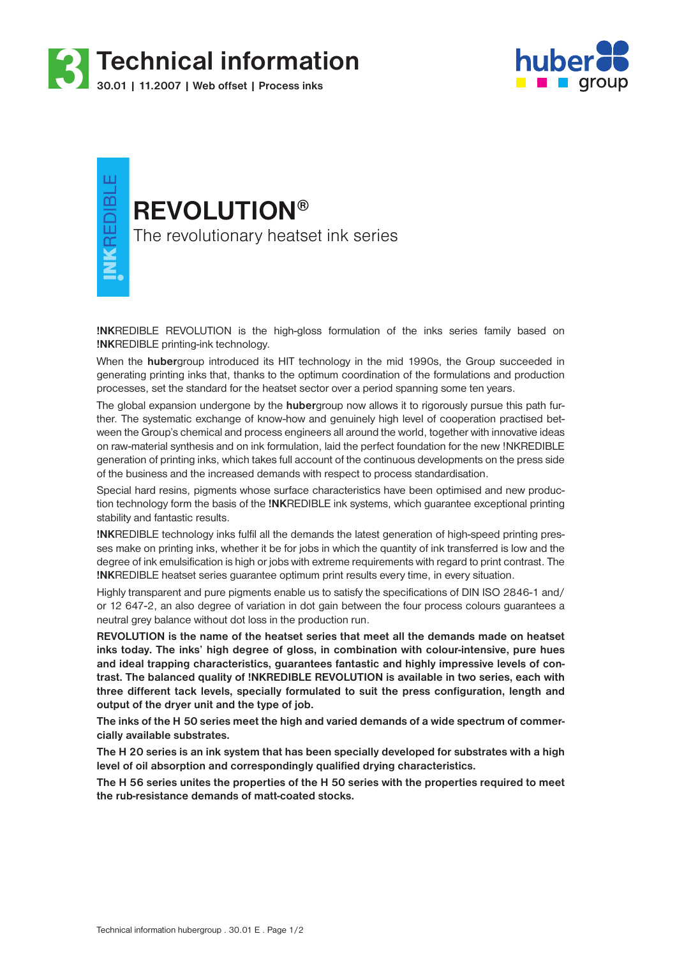



**INKREDIBLE** 

# **REVOLUTION®**

The revolutionary heatset ink series

**!NK**REDIBLE REVOLUTION is the high-gloss formulation of the inks series family based on **!NK**REDIBLE printing-ink technology.

When the **huber**group introduced its HIT technology in the mid 1990s, the Group succeeded in generating printing inks that, thanks to the optimum coordination of the formulations and production processes, set the standard for the heatset sector over a period spanning some ten years.

The global expansion undergone by the **huber**group now allows it to rigorously pursue this path further. The systematic exchange of know-how and genuinely high level of cooperation practised between the Group's chemical and process engineers all around the world, together with innovative ideas on raw-material synthesis and on ink formulation, laid the perfect foundation for the new !NKREDIBLE generation of printing inks, which takes full account of the continuous developments on the press side of the business and the increased demands with respect to process standardisation.

Special hard resins, pigments whose surface characteristics have been optimised and new production technology form the basis of the **!NK**REDIBLE ink systems, which guarantee exceptional printing stability and fantastic results.

**!NK**REDIBLE technology inks fulfil all the demands the latest generation of high-speed printing presses make on printing inks, whether it be for jobs in which the quantity of ink transferred is low and the degree of ink emulsification is high or jobs with extreme requirements with regard to print contrast. The **!NK**REDIBLE heatset series guarantee optimum print results every time, in every situation.

Highly transparent and pure pigments enable us to satisfy the specifications of DIN ISO 2846-1 and/ or 12 647-2, an also degree of variation in dot gain between the four process colours guarantees a neutral grey balance without dot loss in the production run.

**REVOLUTION is the name of the heatset series that meet all the demands made on heatset inks today. The inks' high degree of gloss, in combination with colour-intensive, pure hues and ideal trapping characteristics, guarantees fantastic and highly impressive levels of contrast. The balanced quality of !NKREDIBLE REVOLUTION is available in two series, each with three different tack levels, specially formulated to suit the press configuration, length and output of the dryer unit and the type of job.**

**The inks of the H 50 series meet the high and varied demands of a wide spectrum of commercially available substrates.**

**The H 20 series is an ink system that has been specially developed for substrates with a high level of oil absorption and correspondingly qualified drying characteristics.** 

**The H 56 series unites the properties of the H 50 series with the properties required to meet the rub-resistance demands of matt-coated stocks.**